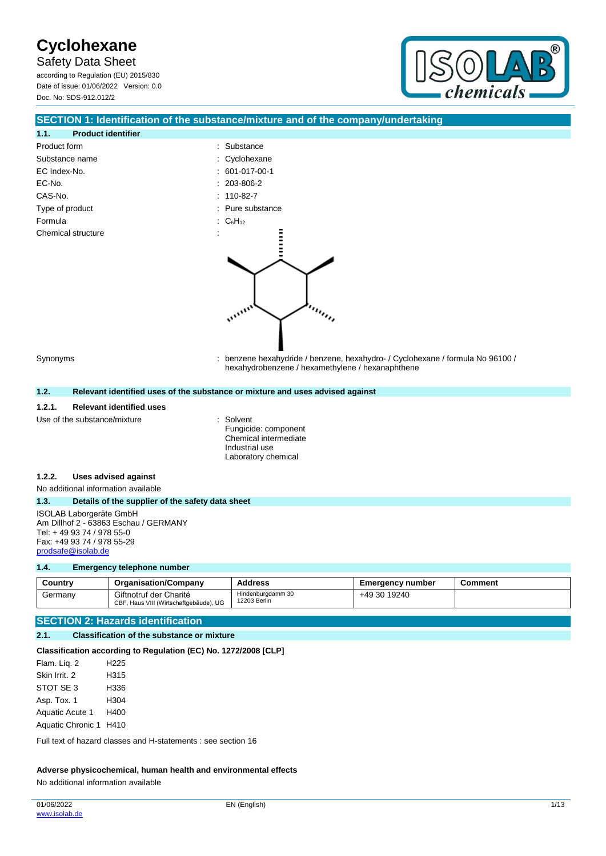**Safety Data Sheet** 

according to Regulation (EU) 2015/830 Date of issue: 01/06/2022 Version: 0.0 Doc. No: SDS-912.012/2



#### **SECTION 1: Identification of the substance/mixture and of the company/undertaking**

| 1.1.               | <b>Product identifier</b> |                                        |
|--------------------|---------------------------|----------------------------------------|
| Product form       |                           | : Substance                            |
| Substance name     |                           | : Cyclohexane                          |
| EC Index-No.       |                           | $: 601-017-00-1$                       |
| EC-No.             |                           | $: 203-806-2$                          |
| CAS-No.            |                           | $: 110-82-7$                           |
| Type of product    |                           | : Pure substance                       |
| Formula            |                           | : $C_6H_{12}$                          |
| Chemical structure |                           |                                        |
|                    |                           | <b>Creek</b><br>$\boldsymbol{u}_{t_i}$ |

Synonyms : benzene hexahydride / benzene, hexahydro- / Cyclohexane / formula No 96100 / hexahydrobenzene / hexamethylene / hexanaphthene

#### **1.2. Relevant identified uses of the substance or mixture and uses advised against**

#### **1.2.1. Relevant identified uses**

Use of the substance/mixture : Solvent

Fungicide: component Chemical intermediate Industrial use Laboratory chemical

#### **1.2.2. Uses advised against**

No additional information available

#### **1.3. Details of the supplier of the safety data sheet**

ISOLAB Laborgeräte GmbH Am Dillhof 2 - 63863 Eschau / GERMANY Tel: + 49 93 74 / 978 55-0 Fax: +49 93 74 / 978 55-29 [prodsafe@isolab.de](mailto:prodsafe@isolab.de)

#### **1.4. Emergency telephone number**

| Country | <b>Organisation/Company</b>                                      | <b>Address</b>                    | <b>Emergency number</b> | Comment |
|---------|------------------------------------------------------------------|-----------------------------------|-------------------------|---------|
| Germany | Giftnotruf der Charité<br>CBF, Haus VIII (Wirtschaftgebäude), UG | Hindenburgdamm 30<br>12203 Berlin | +49 30 19240            |         |

#### **SECTION 2: Hazards identification**

#### **2.1. Classification of the substance or mixture**

#### **Classification according to Regulation (EC) No. 1272/2008 [CLP]**

Flam. Liq. 2 H225 Skin Irrit. 2 H315 STOT SE 3 H336 Asp. Tox. 1 H304 Aquatic Acute 1 H400 Aquatic Chronic 1 H410

Full text of hazard classes and H-statements : see section 16

**Adverse physicochemical, human health and environmental effects** No additional information available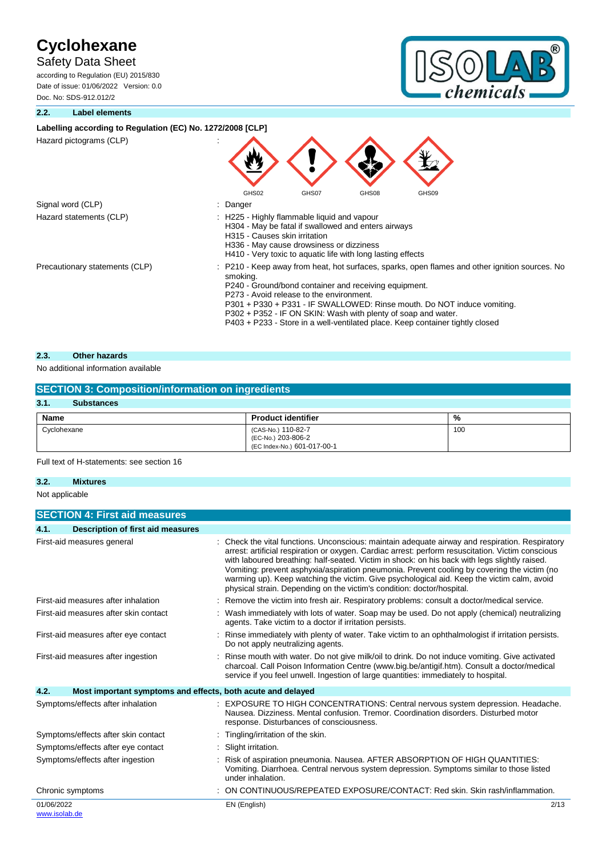# **Safety Data Sheet**

according to Regulation (EU) 2015/830 Date of issue: 01/06/2022 Version: 0.0 Doc. No: SDS-912.012/2



### **2.2. Label elements**

### Labelling according to Regulation (EC) No. 1272/2008 [CLP]

| Hazard pictograms (CLP)        |                                                                                                                                                                                                                                                                                                                                                                                                                                            |
|--------------------------------|--------------------------------------------------------------------------------------------------------------------------------------------------------------------------------------------------------------------------------------------------------------------------------------------------------------------------------------------------------------------------------------------------------------------------------------------|
| Signal word (CLP)              | GHS02<br>GHS07<br>GHS08<br>GHS09<br>Danger                                                                                                                                                                                                                                                                                                                                                                                                 |
| Hazard statements (CLP)        | : H225 - Highly flammable liquid and vapour<br>H304 - May be fatal if swallowed and enters airways<br>H315 - Causes skin irritation<br>H336 - May cause drowsiness or dizziness<br>H410 - Very toxic to aquatic life with long lasting effects                                                                                                                                                                                             |
| Precautionary statements (CLP) | P210 - Keep away from heat, hot surfaces, sparks, open flames and other ignition sources. No<br>smoking.<br>P240 - Ground/bond container and receiving equipment.<br>P273 - Avoid release to the environment.<br>P301 + P330 + P331 - IF SWALLOWED: Rinse mouth. Do NOT induce vomiting.<br>P302 + P352 - IF ON SKIN: Wash with plenty of soap and water.<br>P403 + P233 - Store in a well-ventilated place. Keep container tightly closed |

### **2.3. Other hazards**

#### No additional information available

### **SECTION 3: Composition/information on ingredients**

| 3.1.<br><b>Substances</b> |                                                                         |     |
|---------------------------|-------------------------------------------------------------------------|-----|
| Name                      | <b>Product identifier</b>                                               | %   |
| Cyclohexane               | (CAS-No.) 110-82-7<br>(EC-No.) 203-806-2<br>(EC Index-No.) 601-017-00-1 | 100 |

Full text of H-statements: see section 16

#### **3.2. Mixtures**

Not applicable

| <b>SECTION 4: First aid measures</b>                                |                                                                                                                                                                                                                                                                                                                                                                                                                                                                                                                                                                            |  |
|---------------------------------------------------------------------|----------------------------------------------------------------------------------------------------------------------------------------------------------------------------------------------------------------------------------------------------------------------------------------------------------------------------------------------------------------------------------------------------------------------------------------------------------------------------------------------------------------------------------------------------------------------------|--|
| 4.1.<br><b>Description of first aid measures</b>                    |                                                                                                                                                                                                                                                                                                                                                                                                                                                                                                                                                                            |  |
| First-aid measures general                                          | Check the vital functions. Unconscious: maintain adequate airway and respiration. Respiratory<br>arrest: artificial respiration or oxygen. Cardiac arrest: perform resuscitation. Victim conscious<br>with laboured breathing: half-seated. Victim in shock: on his back with legs slightly raised.<br>Vomiting: prevent asphyxia/aspiration pneumonia. Prevent cooling by covering the victim (no<br>warming up). Keep watching the victim. Give psychological aid. Keep the victim calm, avoid<br>physical strain. Depending on the victim's condition: doctor/hospital. |  |
| First-aid measures after inhalation                                 | Remove the victim into fresh air. Respiratory problems: consult a doctor/medical service.                                                                                                                                                                                                                                                                                                                                                                                                                                                                                  |  |
| First-aid measures after skin contact                               | Wash immediately with lots of water. Soap may be used. Do not apply (chemical) neutralizing<br>agents. Take victim to a doctor if irritation persists.                                                                                                                                                                                                                                                                                                                                                                                                                     |  |
| First-aid measures after eye contact                                | Rinse immediately with plenty of water. Take victim to an ophthalmologist if irritation persists.<br>Do not apply neutralizing agents.                                                                                                                                                                                                                                                                                                                                                                                                                                     |  |
| First-aid measures after ingestion                                  | Rinse mouth with water. Do not give milk/oil to drink. Do not induce vomiting. Give activated<br>charcoal. Call Poison Information Centre (www.big.be/antigif.htm). Consult a doctor/medical<br>service if you feel unwell. Ingestion of large quantities: immediately to hospital.                                                                                                                                                                                                                                                                                        |  |
| 4.2.<br>Most important symptoms and effects, both acute and delayed |                                                                                                                                                                                                                                                                                                                                                                                                                                                                                                                                                                            |  |
| Symptoms/effects after inhalation                                   | EXPOSURE TO HIGH CONCENTRATIONS: Central nervous system depression. Headache.<br>Nausea. Dizziness. Mental confusion. Tremor. Coordination disorders. Disturbed motor<br>response. Disturbances of consciousness.                                                                                                                                                                                                                                                                                                                                                          |  |
| Symptoms/effects after skin contact                                 | Tingling/irritation of the skin.                                                                                                                                                                                                                                                                                                                                                                                                                                                                                                                                           |  |
| Symptoms/effects after eye contact                                  | Slight irritation.                                                                                                                                                                                                                                                                                                                                                                                                                                                                                                                                                         |  |
| Symptoms/effects after ingestion                                    | Risk of aspiration pneumonia. Nausea. AFTER ABSORPTION OF HIGH QUANTITIES:<br>Vomiting. Diarrhoea. Central nervous system depression. Symptoms similar to those listed<br>under inhalation.                                                                                                                                                                                                                                                                                                                                                                                |  |
| Chronic symptoms                                                    | ON CONTINUOUS/REPEATED EXPOSURE/CONTACT: Red skin, Skin rash/inflammation.                                                                                                                                                                                                                                                                                                                                                                                                                                                                                                 |  |
| 01/06/2022<br>www.isolab.de                                         | EN (English)<br>2/13                                                                                                                                                                                                                                                                                                                                                                                                                                                                                                                                                       |  |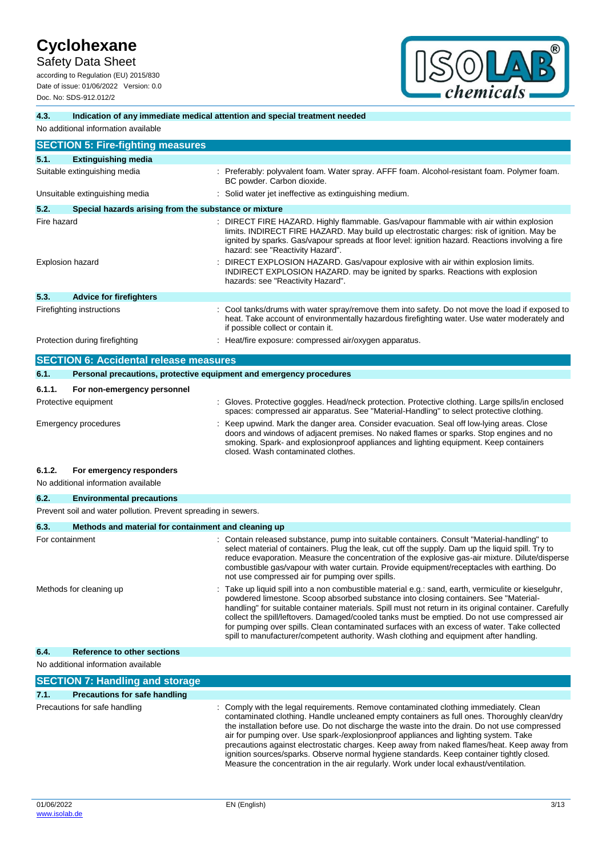**Safety Data Sheet** 

according to Regulation (EU) 2015/830 Date of issue: 01/06/2022 Version: 0.0 Doc. No: SDS-912.012/2



#### **4.3. Indication of any immediate medical attention and special treatment needed**

No additional information available

|                              | <b>SECTION 5: Fire-fighting measures</b>                            |  |                                                                                                                                                                                                                                                                                                                             |  |
|------------------------------|---------------------------------------------------------------------|--|-----------------------------------------------------------------------------------------------------------------------------------------------------------------------------------------------------------------------------------------------------------------------------------------------------------------------------|--|
| 5.1.                         | <b>Extinguishing media</b>                                          |  |                                                                                                                                                                                                                                                                                                                             |  |
| Suitable extinguishing media |                                                                     |  | Preferably: polyvalent foam. Water spray. AFFF foam. Alcohol-resistant foam. Polymer foam.<br>BC powder. Carbon dioxide.                                                                                                                                                                                                    |  |
|                              | Unsuitable extinguishing media                                      |  | Solid water jet ineffective as extinguishing medium.                                                                                                                                                                                                                                                                        |  |
| 5.2.                         | Special hazards arising from the substance or mixture               |  |                                                                                                                                                                                                                                                                                                                             |  |
| Fire hazard                  |                                                                     |  | DIRECT FIRE HAZARD. Highly flammable. Gas/vapour flammable with air within explosion<br>limits. INDIRECT FIRE HAZARD. May build up electrostatic charges: risk of ignition. May be<br>ignited by sparks. Gas/vapour spreads at floor level: ignition hazard. Reactions involving a fire<br>hazard: see "Reactivity Hazard". |  |
| Explosion hazard             |                                                                     |  | DIRECT EXPLOSION HAZARD. Gas/vapour explosive with air within explosion limits.<br>INDIRECT EXPLOSION HAZARD. may be ignited by sparks. Reactions with explosion<br>hazards: see "Reactivity Hazard".                                                                                                                       |  |
| 5.3.                         | <b>Advice for firefighters</b>                                      |  |                                                                                                                                                                                                                                                                                                                             |  |
| Firefighting instructions    |                                                                     |  | : Cool tanks/drums with water spray/remove them into safety. Do not move the load if exposed to<br>heat. Take account of environmentally hazardous firefighting water. Use water moderately and<br>if possible collect or contain it.                                                                                       |  |
|                              | Protection during firefighting                                      |  | Heat/fire exposure: compressed air/oxygen apparatus.                                                                                                                                                                                                                                                                        |  |
|                              | <b>SECTION 6: Accidental release measures</b>                       |  |                                                                                                                                                                                                                                                                                                                             |  |
| 6.1.                         | Personal precautions, protective equipment and emergency procedures |  |                                                                                                                                                                                                                                                                                                                             |  |
| 6.1.1.                       | For non-emergency personnel                                         |  |                                                                                                                                                                                                                                                                                                                             |  |
| Protective equipment         |                                                                     |  | Gloves. Protective goggles. Head/neck protection. Protective clothing. Large spills/in enclosed<br>spaces: compressed air apparatus. See "Material-Handling" to select protective clothing.                                                                                                                                 |  |

Emergency procedures : Keep upwind. Mark the danger area. Consider evacuation. Seal off low-lying areas. Close doors and windows of adjacent premises. No naked flames or sparks. Stop engines and no smoking. Spark- and explosionproof appliances and lighting equipment. Keep containers closed. Wash contaminated clothes.

#### **6.1.2. For emergency responders**

No additional information available

#### **6.2. Environmental precautions**

Prevent soil and water pollution. Prevent spreading in sewers.

| 6.3.                                               | Methods and material for containment and cleaning up |                                                                                                                                                                                                                                                                                                                                                                                                                                                                                                                                                                                                  |  |
|----------------------------------------------------|------------------------------------------------------|--------------------------------------------------------------------------------------------------------------------------------------------------------------------------------------------------------------------------------------------------------------------------------------------------------------------------------------------------------------------------------------------------------------------------------------------------------------------------------------------------------------------------------------------------------------------------------------------------|--|
| For containment                                    |                                                      | : Contain released substance, pump into suitable containers. Consult "Material-handling" to<br>select material of containers. Plug the leak, cut off the supply. Dam up the liquid spill. Try to<br>reduce evaporation. Measure the concentration of the explosive gas-air mixture. Dilute/disperse<br>combustible gas/vapour with water curtain. Provide equipment/receptacles with earthing. Do<br>not use compressed air for pumping over spills.                                                                                                                                             |  |
|                                                    | Methods for cleaning up                              | : Take up liquid spill into a non combustible material e.g.: sand, earth, vermiculite or kieselguhr,<br>powdered limestone. Scoop absorbed substance into closing containers. See "Material-<br>handling" for suitable container materials. Spill must not return in its original container. Carefully<br>collect the spill/leftovers. Damaged/cooled tanks must be emptied. Do not use compressed air<br>for pumping over spills. Clean contaminated surfaces with an excess of water. Take collected<br>spill to manufacturer/competent authority. Wash clothing and equipment after handling. |  |
| 6.4.                                               | Reference to other sections                          |                                                                                                                                                                                                                                                                                                                                                                                                                                                                                                                                                                                                  |  |
| No additional information available<br>----------- |                                                      |                                                                                                                                                                                                                                                                                                                                                                                                                                                                                                                                                                                                  |  |

#### **SECTION 7: Handling and storage 7.1. Precautions for safe handling**

Precautions for safe handling state is a state of the legal requirements. Remove contaminated clothing immediately. Clean contaminated clothing. Handle uncleaned empty containers as full ones. Thoroughly clean/dry the installation before use. Do not discharge the waste into the drain. Do not use compressed air for pumping over. Use spark-/explosionproof appliances and lighting system. Take precautions against electrostatic charges. Keep away from naked flames/heat. Keep away from ignition sources/sparks. Observe normal hygiene standards. Keep container tightly closed. Measure the concentration in the air regularly. Work under local exhaust/ventilation.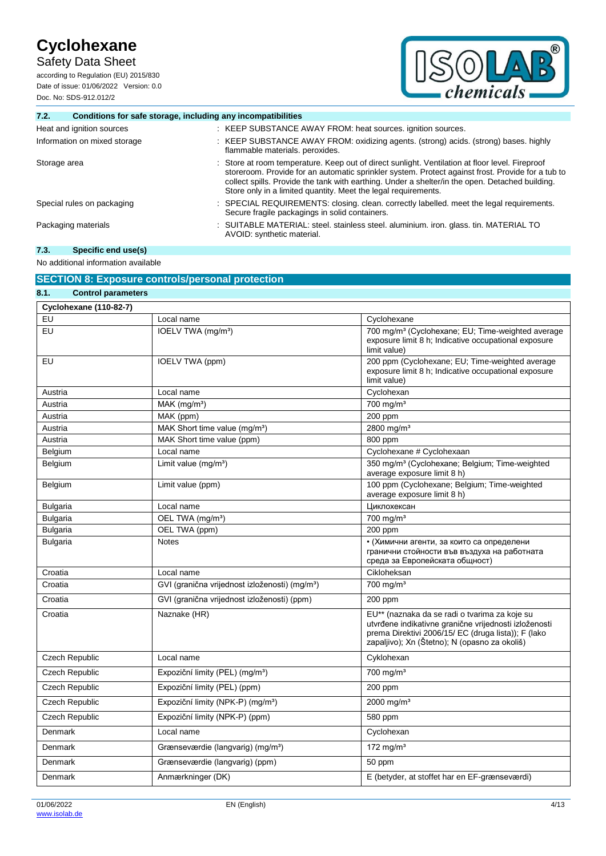**Safety Data Sheet** 

according to Regulation (EU) 2015/830 Date of issue: 01/06/2022 Version: 0.0 Doc. No: SDS-912.012/2



**7.2. Conditions for safe storage, including any incompatibilities**

| Heat and ignition sources    | : KEEP SUBSTANCE AWAY FROM: heat sources. ignition sources.                                                                                                                                                                                                                                                                                                               |
|------------------------------|---------------------------------------------------------------------------------------------------------------------------------------------------------------------------------------------------------------------------------------------------------------------------------------------------------------------------------------------------------------------------|
| Information on mixed storage | : KEEP SUBSTANCE AWAY FROM: oxidizing agents. (strong) acids. (strong) bases. highly<br>flammable materials. peroxides.                                                                                                                                                                                                                                                   |
| Storage area                 | : Store at room temperature. Keep out of direct sunlight. Ventilation at floor level. Fireproof<br>storeroom. Provide for an automatic sprinkler system. Protect against frost. Provide for a tub to<br>collect spills. Provide the tank with earthing. Under a shelter/in the open. Detached building.<br>Store only in a limited quantity. Meet the legal requirements. |
| Special rules on packaging   | : SPECIAL REQUIREMENTS: closing. clean. correctly labelled. meet the legal requirements.<br>Secure fragile packagings in solid containers.                                                                                                                                                                                                                                |
| Packaging materials          | : SUITABLE MATERIAL: steel. stainless steel. aluminium. iron. glass. tin. MATERIAL TO<br>AVOID: synthetic material.                                                                                                                                                                                                                                                       |
|                              |                                                                                                                                                                                                                                                                                                                                                                           |

| 7.3.<br>Specific end use(s)         |                                                            |                                                                                                                                                                                                                |
|-------------------------------------|------------------------------------------------------------|----------------------------------------------------------------------------------------------------------------------------------------------------------------------------------------------------------------|
| No additional information available |                                                            |                                                                                                                                                                                                                |
|                                     | <b>SECTION 8: Exposure controls/personal protection</b>    |                                                                                                                                                                                                                |
| 8.1.<br><b>Control parameters</b>   |                                                            |                                                                                                                                                                                                                |
| <b>Cyclohexane (110-82-7)</b>       |                                                            |                                                                                                                                                                                                                |
| EU                                  | Local name                                                 | Cyclohexane                                                                                                                                                                                                    |
| EU                                  | IOELV TWA (mg/m <sup>3</sup> )                             | 700 mg/m <sup>3</sup> (Cyclohexane; EU; Time-weighted average<br>exposure limit 8 h; Indicative occupational exposure<br>limit value)                                                                          |
| EU                                  | IOELV TWA (ppm)                                            | 200 ppm (Cyclohexane; EU; Time-weighted average<br>exposure limit 8 h; Indicative occupational exposure<br>limit value)                                                                                        |
| Austria                             | Local name                                                 | Cyclohexan                                                                                                                                                                                                     |
| Austria                             | $MAK$ (mg/m <sup>3</sup> )                                 | $700$ mg/m <sup>3</sup>                                                                                                                                                                                        |
| Austria                             | MAK (ppm)                                                  | 200 ppm                                                                                                                                                                                                        |
| Austria                             | MAK Short time value (mg/m <sup>3</sup> )                  | 2800 mg/m <sup>3</sup>                                                                                                                                                                                         |
| Austria                             | MAK Short time value (ppm)                                 | 800 ppm                                                                                                                                                                                                        |
| Belgium                             | Local name                                                 | Cyclohexane # Cyclohexaan                                                                                                                                                                                      |
| Belgium                             | Limit value $(mg/m3)$                                      | 350 mg/m <sup>3</sup> (Cyclohexane; Belgium; Time-weighted<br>average exposure limit 8 h)                                                                                                                      |
| Belgium                             | Limit value (ppm)                                          | 100 ppm (Cyclohexane; Belgium; Time-weighted<br>average exposure limit 8 h)                                                                                                                                    |
| <b>Bulgaria</b>                     | Local name                                                 | Циклохексан                                                                                                                                                                                                    |
| <b>Bulgaria</b>                     | OEL TWA (mg/m <sup>3</sup> )                               | 700 mg/m <sup>3</sup>                                                                                                                                                                                          |
| <b>Bulgaria</b>                     | OEL TWA (ppm)                                              | 200 ppm                                                                                                                                                                                                        |
| <b>Bulgaria</b>                     | <b>Notes</b>                                               | • (Химични агенти, за които са определени<br>гранични стойности във въздуха на работната<br>среда за Европейската общност)                                                                                     |
| Croatia                             | Local name                                                 | Cikloheksan                                                                                                                                                                                                    |
| Croatia                             | GVI (granična vrijednost izloženosti) (mg/m <sup>3</sup> ) | 700 mg/m <sup>3</sup>                                                                                                                                                                                          |
| Croatia                             | GVI (granična vrijednost izloženosti) (ppm)                | 200 ppm                                                                                                                                                                                                        |
| Croatia                             | Naznake (HR)                                               | EU** (naznaka da se radi o tvarima za koje su<br>utvrđene indikativne granične vrijednosti izloženosti<br>prema Direktivi 2006/15/ EC (druga lista)); F (lako<br>zapaljivo); Xn (Štetno); N (opasno za okoliš) |
| <b>Czech Republic</b>               | Local name                                                 | Cyklohexan                                                                                                                                                                                                     |
| <b>Czech Republic</b>               | Expoziční limity (PEL) (mg/m <sup>3</sup> )                | 700 mg/m <sup>3</sup>                                                                                                                                                                                          |
| <b>Czech Republic</b>               | Expoziční limity (PEL) (ppm)                               | $200$ ppm                                                                                                                                                                                                      |

Denmark Anmærkninger (DK) E (betyder, at stoffet har en EF-grænseværdi)

Czech Republic Expoziční limity (NPK-P) (mg/m<sup>3</sup>) 2000 mg/m<sup>3</sup> Czech Republic **Expoziční limity (NPK-P) (ppm)** 580 ppm Denmark Local name Cyclohexan Denmark Grænseværdie (langvarig) (mg/mª) 172 mg/mª Denmark Grænseværdie (langvarig) (ppm) 50 ppm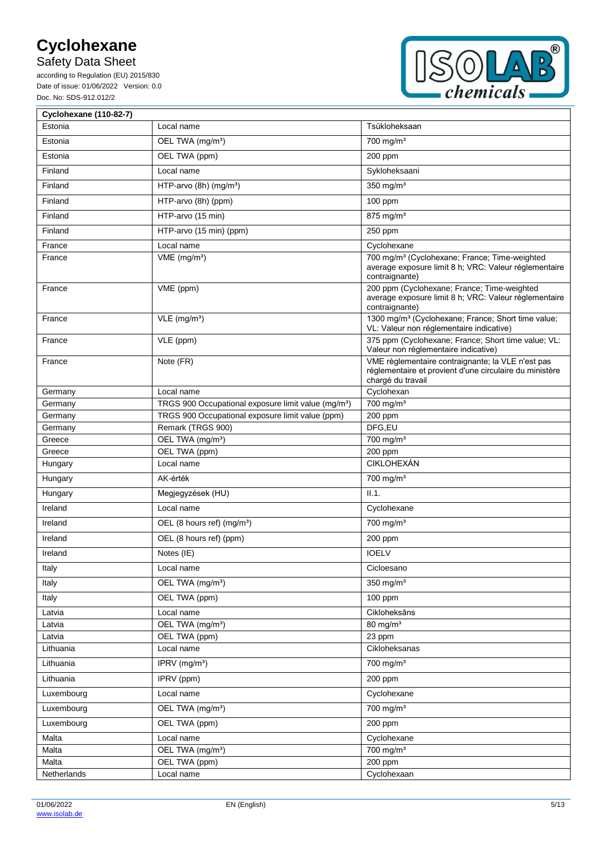Safety Data Sheet **\*\*\* DRAFT \*\*\* DRAFT \*\*\* DRAFT \*\*\* DRAFT \*\*\* DRAFT \*\*\* DRAFT \*\*** 

according to Regulation (EU) 2015/830 Date of issue: 01/06/2022 Version: 0.0 Doc. No: SDS-912.012/2



| Cyclohexane (110-82-7) |                                                                 |                                                                                                                                      |
|------------------------|-----------------------------------------------------------------|--------------------------------------------------------------------------------------------------------------------------------------|
| Estonia                | Local name                                                      | Tsükloheksaan                                                                                                                        |
| Estonia                | OEL TWA (mg/m <sup>3</sup> )                                    | $700$ mg/m <sup>3</sup>                                                                                                              |
| Estonia                | OEL TWA (ppm)                                                   | 200 ppm                                                                                                                              |
| Finland                | Local name                                                      | Sykloheksaani                                                                                                                        |
| Finland                | HTP-arvo (8h) (mg/m <sup>3</sup> )                              | 350 mg/ $m3$                                                                                                                         |
| Finland                | HTP-arvo (8h) (ppm)                                             | 100 ppm                                                                                                                              |
| Finland                | HTP-arvo (15 min)                                               | 875 mg/m <sup>3</sup>                                                                                                                |
| Finland                | HTP-arvo (15 min) (ppm)                                         | 250 ppm                                                                                                                              |
| France                 | Local name                                                      | Cyclohexane                                                                                                                          |
| France                 | $VME$ (mg/m <sup>3</sup> )                                      | 700 mg/m <sup>3</sup> (Cyclohexane; France; Time-weighted<br>average exposure limit 8 h; VRC: Valeur réglementaire<br>contraignante) |
| France                 | VME (ppm)                                                       | 200 ppm (Cyclohexane; France; Time-weighted<br>average exposure limit 8 h; VRC: Valeur réglementaire<br>contraignante)               |
| France                 | $VLE$ (mg/m <sup>3</sup> )                                      | 1300 mg/m <sup>3</sup> (Cyclohexane; France; Short time value;<br>VL: Valeur non réglementaire indicative)                           |
| France                 | VLE (ppm)                                                       | 375 ppm (Cyclohexane; France; Short time value; VL:<br>Valeur non réglementaire indicative)                                          |
| France                 | Note (FR)                                                       | VME règlementaire contraignante; la VLE n'est pas<br>réglementaire et provient d'une circulaire du ministère<br>chargé du travail    |
| Germany                | Local name                                                      | Cyclohexan                                                                                                                           |
| Germany                | TRGS 900 Occupational exposure limit value (mg/m <sup>3</sup> ) | 700 mg/m <sup>3</sup>                                                                                                                |
| Germany                | TRGS 900 Occupational exposure limit value (ppm)                | 200 ppm                                                                                                                              |
| Germany                | Remark (TRGS 900)                                               | DFG.EU                                                                                                                               |
| Greece                 | OEL TWA (mg/m <sup>3</sup> )                                    | 700 mg/m <sup>3</sup>                                                                                                                |
| Greece                 | OEL TWA (ppm)                                                   | 200 ppm                                                                                                                              |
| Hungary                | Local name                                                      | <b>CIKLOHEXÁN</b>                                                                                                                    |
| Hungary                | AK-érték                                                        | $700$ mg/m <sup>3</sup>                                                                                                              |
| Hungary                | Megjegyzések (HU)                                               | II.1.                                                                                                                                |
| Ireland                | Local name                                                      | Cyclohexane                                                                                                                          |
| Ireland                | OEL (8 hours ref) (mg/m <sup>3</sup> )                          | $700$ mg/m <sup>3</sup>                                                                                                              |
| Ireland                | OEL (8 hours ref) (ppm)                                         | 200 ppm                                                                                                                              |
| Ireland                | Notes (IE)                                                      | <b>IOELV</b>                                                                                                                         |
| Italy                  | Local name                                                      | Cicloesano                                                                                                                           |
| Italy                  | OEL TWA (mg/m <sup>3</sup> )                                    | 350 mg/m <sup>3</sup>                                                                                                                |
| Italy                  | OEL TWA (ppm)                                                   | $100$ ppm                                                                                                                            |
| Latvia                 | Local name                                                      | Cikloheksāns                                                                                                                         |
| Latvia                 | OEL TWA (mg/m <sup>3</sup> )                                    | 80 mg/m <sup>3</sup>                                                                                                                 |
| Latvia                 | OEL TWA (ppm)                                                   | 23 ppm                                                                                                                               |
| Lithuania              | Local name                                                      | Cikloheksanas                                                                                                                        |
| Lithuania              | IPRV (mg/m <sup>3</sup> )                                       | 700 mg/m <sup>3</sup>                                                                                                                |
| Lithuania              | IPRV (ppm)                                                      | 200 ppm                                                                                                                              |
| Luxembourg             | Local name                                                      | Cyclohexane                                                                                                                          |
| Luxembourg             | OEL TWA (mg/m <sup>3</sup> )                                    | 700 mg/m <sup>3</sup>                                                                                                                |
| Luxembourg             | OEL TWA (ppm)                                                   | 200 ppm                                                                                                                              |
| Malta                  | Local name                                                      | Cyclohexane                                                                                                                          |
| Malta                  | OEL TWA (mg/m <sup>3</sup> )                                    | 700 mg/m <sup>3</sup>                                                                                                                |
| Malta                  | OEL TWA (ppm)                                                   | 200 ppm                                                                                                                              |
| Netherlands            | Local name                                                      | Cyclohexaan                                                                                                                          |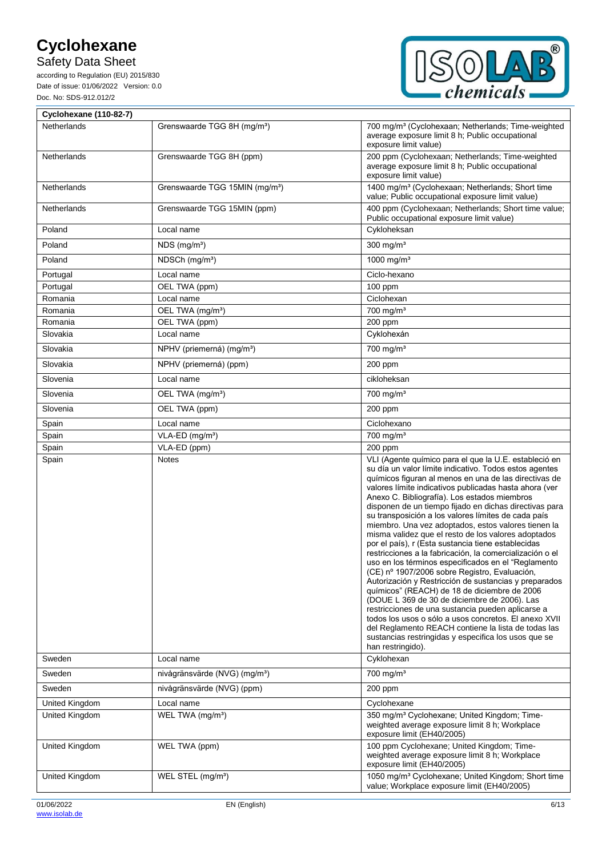Safety Data Sheet **\*\*\* DRAFT \*\*\* DRAFT \*\*\* DRAFT \*\*\* DRAFT \*\*\* DRAFT \*\*\* DRAFT \*\*** 

according to Regulation (EU) 2015/830 Date of issue: 01/06/2022 Version: 0.0 Doc. No: SDS-912.012/2



| <b>Cyclohexane (110-82-7)</b> |                                            |                                                                                                                                                                                                                                                                                                                                                                                                                                                                                                                                                                                                                                                                                                                                                                                                                                                                                                                                                                                                                                                                                                                                                        |
|-------------------------------|--------------------------------------------|--------------------------------------------------------------------------------------------------------------------------------------------------------------------------------------------------------------------------------------------------------------------------------------------------------------------------------------------------------------------------------------------------------------------------------------------------------------------------------------------------------------------------------------------------------------------------------------------------------------------------------------------------------------------------------------------------------------------------------------------------------------------------------------------------------------------------------------------------------------------------------------------------------------------------------------------------------------------------------------------------------------------------------------------------------------------------------------------------------------------------------------------------------|
| Netherlands                   | Grenswaarde TGG 8H (mg/m <sup>3</sup> )    | 700 mg/m <sup>3</sup> (Cyclohexaan; Netherlands; Time-weighted<br>average exposure limit 8 h; Public occupational<br>exposure limit value)                                                                                                                                                                                                                                                                                                                                                                                                                                                                                                                                                                                                                                                                                                                                                                                                                                                                                                                                                                                                             |
| Netherlands                   | Grenswaarde TGG 8H (ppm)                   | 200 ppm (Cyclohexaan; Netherlands; Time-weighted<br>average exposure limit 8 h; Public occupational<br>exposure limit value)                                                                                                                                                                                                                                                                                                                                                                                                                                                                                                                                                                                                                                                                                                                                                                                                                                                                                                                                                                                                                           |
| Netherlands                   | Grenswaarde TGG 15MIN (mg/m <sup>3</sup> ) | 1400 mg/m <sup>3</sup> (Cyclohexaan; Netherlands; Short time<br>value; Public occupational exposure limit value)                                                                                                                                                                                                                                                                                                                                                                                                                                                                                                                                                                                                                                                                                                                                                                                                                                                                                                                                                                                                                                       |
| Netherlands                   | Grenswaarde TGG 15MIN (ppm)                | 400 ppm (Cyclohexaan; Netherlands; Short time value;<br>Public occupational exposure limit value)                                                                                                                                                                                                                                                                                                                                                                                                                                                                                                                                                                                                                                                                                                                                                                                                                                                                                                                                                                                                                                                      |
| Poland                        | Local name                                 | Cykloheksan                                                                                                                                                                                                                                                                                                                                                                                                                                                                                                                                                                                                                                                                                                                                                                                                                                                                                                                                                                                                                                                                                                                                            |
| Poland                        | $NDS$ (mg/m <sup>3</sup> )                 | 300 mg/ $m3$                                                                                                                                                                                                                                                                                                                                                                                                                                                                                                                                                                                                                                                                                                                                                                                                                                                                                                                                                                                                                                                                                                                                           |
| Poland                        | $NDSCh$ (mg/m <sup>3</sup> )               | 1000 mg/m <sup>3</sup>                                                                                                                                                                                                                                                                                                                                                                                                                                                                                                                                                                                                                                                                                                                                                                                                                                                                                                                                                                                                                                                                                                                                 |
| Portugal                      | Local name                                 | Ciclo-hexano                                                                                                                                                                                                                                                                                                                                                                                                                                                                                                                                                                                                                                                                                                                                                                                                                                                                                                                                                                                                                                                                                                                                           |
| Portugal                      | OEL TWA (ppm)                              | $100$ ppm                                                                                                                                                                                                                                                                                                                                                                                                                                                                                                                                                                                                                                                                                                                                                                                                                                                                                                                                                                                                                                                                                                                                              |
| Romania                       | Local name                                 | Ciclohexan                                                                                                                                                                                                                                                                                                                                                                                                                                                                                                                                                                                                                                                                                                                                                                                                                                                                                                                                                                                                                                                                                                                                             |
| Romania                       | OEL TWA (mg/m <sup>3</sup> )               | 700 mg/m <sup>3</sup>                                                                                                                                                                                                                                                                                                                                                                                                                                                                                                                                                                                                                                                                                                                                                                                                                                                                                                                                                                                                                                                                                                                                  |
| Romania                       | OEL TWA (ppm)                              | 200 ppm                                                                                                                                                                                                                                                                                                                                                                                                                                                                                                                                                                                                                                                                                                                                                                                                                                                                                                                                                                                                                                                                                                                                                |
| Slovakia                      | Local name                                 | Cyklohexán                                                                                                                                                                                                                                                                                                                                                                                                                                                                                                                                                                                                                                                                                                                                                                                                                                                                                                                                                                                                                                                                                                                                             |
| Slovakia                      | NPHV (priemerná) (mg/m <sup>3</sup> )      | $700$ mg/m <sup>3</sup>                                                                                                                                                                                                                                                                                                                                                                                                                                                                                                                                                                                                                                                                                                                                                                                                                                                                                                                                                                                                                                                                                                                                |
| Slovakia                      | NPHV (priemerná) (ppm)                     | $200$ ppm                                                                                                                                                                                                                                                                                                                                                                                                                                                                                                                                                                                                                                                                                                                                                                                                                                                                                                                                                                                                                                                                                                                                              |
| Slovenia                      | Local name                                 | cikloheksan                                                                                                                                                                                                                                                                                                                                                                                                                                                                                                                                                                                                                                                                                                                                                                                                                                                                                                                                                                                                                                                                                                                                            |
| Slovenia                      | OEL TWA (mg/m <sup>3</sup> )               | $700$ mg/m <sup>3</sup>                                                                                                                                                                                                                                                                                                                                                                                                                                                                                                                                                                                                                                                                                                                                                                                                                                                                                                                                                                                                                                                                                                                                |
| Slovenia                      | OEL TWA (ppm)                              | 200 ppm                                                                                                                                                                                                                                                                                                                                                                                                                                                                                                                                                                                                                                                                                                                                                                                                                                                                                                                                                                                                                                                                                                                                                |
| Spain                         | Local name                                 | Ciclohexano                                                                                                                                                                                                                                                                                                                                                                                                                                                                                                                                                                                                                                                                                                                                                                                                                                                                                                                                                                                                                                                                                                                                            |
| Spain                         | VLA-ED (mg/m <sup>3</sup> )                | $700$ mg/m <sup>3</sup>                                                                                                                                                                                                                                                                                                                                                                                                                                                                                                                                                                                                                                                                                                                                                                                                                                                                                                                                                                                                                                                                                                                                |
| Spain                         | VLA-ED (ppm)                               | 200 ppm                                                                                                                                                                                                                                                                                                                                                                                                                                                                                                                                                                                                                                                                                                                                                                                                                                                                                                                                                                                                                                                                                                                                                |
| Spain                         | <b>Notes</b>                               | VLI (Agente químico para el que la U.E. estableció en<br>su día un valor límite indicativo. Todos estos agentes<br>químicos figuran al menos en una de las directivas de<br>valores límite indicativos publicadas hasta ahora (ver<br>Anexo C. Bibliografía). Los estados miembros<br>disponen de un tiempo fijado en dichas directivas para<br>su transposición a los valores límites de cada país<br>miembro. Una vez adoptados, estos valores tienen la<br>misma validez que el resto de los valores adoptados<br>por el país), r (Esta sustancia tiene establecidas<br>restricciones a la fabricación, la comercialización o el<br>uso en los términos especificados en el "Reglamento<br>(CE) nº 1907/2006 sobre Registro, Evaluación,<br>Autorización y Restricción de sustancias y preparados<br>químicos" (REACH) de 18 de diciembre de 2006<br>(DOUE L 369 de 30 de diciembre de 2006). Las<br>restricciones de una sustancia pueden aplicarse a<br>todos los usos o sólo a usos concretos. El anexo XVII<br>del Reglamento REACH contiene la lista de todas las<br>sustancias restringidas y especifica los usos que se<br>han restringido). |
| Sweden                        | Local name                                 | Cyklohexan                                                                                                                                                                                                                                                                                                                                                                                                                                                                                                                                                                                                                                                                                                                                                                                                                                                                                                                                                                                                                                                                                                                                             |
| Sweden                        | nivågränsvärde (NVG) (mg/m <sup>3</sup> )  | $700$ mg/m <sup>3</sup>                                                                                                                                                                                                                                                                                                                                                                                                                                                                                                                                                                                                                                                                                                                                                                                                                                                                                                                                                                                                                                                                                                                                |
| Sweden                        | nivågränsvärde (NVG) (ppm)                 | 200 ppm                                                                                                                                                                                                                                                                                                                                                                                                                                                                                                                                                                                                                                                                                                                                                                                                                                                                                                                                                                                                                                                                                                                                                |
| United Kingdom                | Local name                                 | Cyclohexane                                                                                                                                                                                                                                                                                                                                                                                                                                                                                                                                                                                                                                                                                                                                                                                                                                                                                                                                                                                                                                                                                                                                            |
| United Kingdom                | WEL TWA (mg/m <sup>3</sup> )               | 350 mg/m <sup>3</sup> Cyclohexane; United Kingdom; Time-<br>weighted average exposure limit 8 h; Workplace<br>exposure limit (EH40/2005)                                                                                                                                                                                                                                                                                                                                                                                                                                                                                                                                                                                                                                                                                                                                                                                                                                                                                                                                                                                                               |
| United Kingdom                | WEL TWA (ppm)                              | 100 ppm Cyclohexane; United Kingdom; Time-<br>weighted average exposure limit 8 h; Workplace<br>exposure limit (EH40/2005)                                                                                                                                                                                                                                                                                                                                                                                                                                                                                                                                                                                                                                                                                                                                                                                                                                                                                                                                                                                                                             |
| United Kingdom                | WEL STEL (mg/m <sup>3</sup> )              | 1050 mg/m <sup>3</sup> Cyclohexane; United Kingdom; Short time<br>value; Workplace exposure limit (EH40/2005)                                                                                                                                                                                                                                                                                                                                                                                                                                                                                                                                                                                                                                                                                                                                                                                                                                                                                                                                                                                                                                          |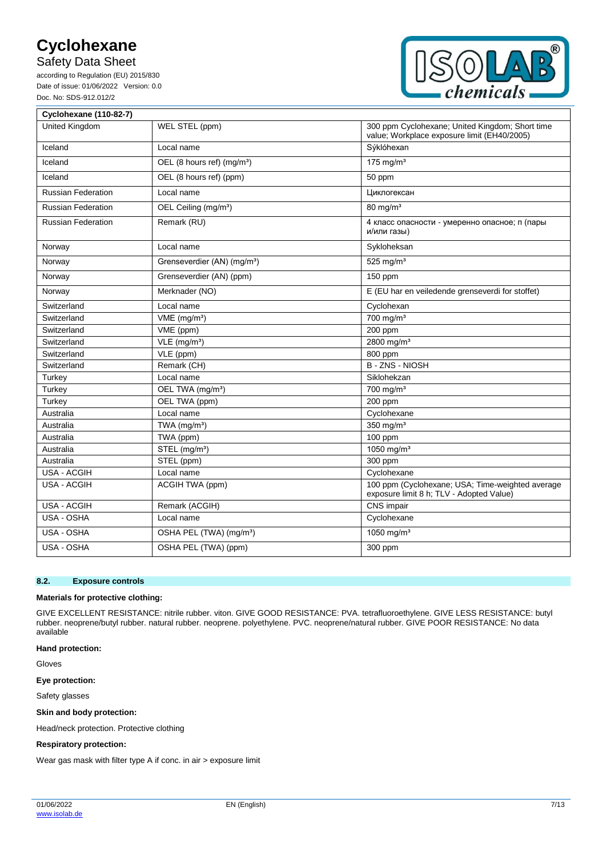**Safety Data Sheet** 

according to Regulation (EU) 2015/830 Date of issue: 01/06/2022 Version: 0.0 Doc. No: SDS-912.012/2



| <b>Cyclohexane (110-82-7)</b> |                                         |                                                                                                |
|-------------------------------|-----------------------------------------|------------------------------------------------------------------------------------------------|
| <b>United Kinadom</b>         | WEL STEL (ppm)                          | 300 ppm Cyclohexane; United Kingdom; Short time<br>value; Workplace exposure limit (EH40/2005) |
| Iceland                       | Local name                              | Sýklóhexan                                                                                     |
| Iceland                       | OEL (8 hours ref) (mg/m <sup>3</sup> )  | 175 mg/m $3$                                                                                   |
| Iceland                       | OEL (8 hours ref) (ppm)                 | 50 ppm                                                                                         |
| <b>Russian Federation</b>     | Local name                              | Циклогексан                                                                                    |
| <b>Russian Federation</b>     | OEL Ceiling (mg/m <sup>3</sup> )        | $80 \text{ mg/m}^3$                                                                            |
| <b>Russian Federation</b>     | Remark (RU)                             | 4 класс опасности - умеренно опасное; п (пары<br>и/или газы)                                   |
| Norway                        | Local name                              | Sykloheksan                                                                                    |
| Norway                        | Grenseverdier (AN) (mg/m <sup>3</sup> ) | $525$ mg/m <sup>3</sup>                                                                        |
| Norway                        | Grenseverdier (AN) (ppm)                | 150 ppm                                                                                        |
| Norway                        | Merknader (NO)                          | E (EU har en veiledende grenseverdi for stoffet)                                               |
| Switzerland                   | Local name                              | Cyclohexan                                                                                     |
| Switzerland                   | $VME$ (mg/m <sup>3</sup> )              | 700 mg/m <sup>3</sup>                                                                          |
| Switzerland                   | VME (ppm)                               | 200 ppm                                                                                        |
| Switzerland                   | VLE (mg/m <sup>3</sup> )                | 2800 mg/m <sup>3</sup>                                                                         |
| Switzerland                   | VLE (ppm)                               | 800 ppm                                                                                        |
| Switzerland                   | Remark (CH)                             | <b>B-ZNS-NIOSH</b>                                                                             |
| Turkey                        | Local name                              | Siklohekzan                                                                                    |
| Turkey                        | OEL TWA (mg/m <sup>3</sup> )            | 700 mg/m <sup>3</sup>                                                                          |
| Turkey                        | OEL TWA (ppm)                           | 200 ppm                                                                                        |
| Australia                     | Local name                              | Cyclohexane                                                                                    |
| Australia                     | TWA (mg/m <sup>3</sup> )                | $350$ mg/m <sup>3</sup>                                                                        |
| Australia                     | TWA (ppm)                               | 100 ppm                                                                                        |
| Australia                     | STEL (mg/m <sup>3</sup> )               | 1050 mg/m <sup>3</sup>                                                                         |
| Australia                     | STEL (ppm)                              | 300 ppm                                                                                        |
| <b>USA - ACGIH</b>            | Local name                              | Cyclohexane                                                                                    |
| <b>USA - ACGIH</b>            | ACGIH TWA (ppm)                         | 100 ppm (Cyclohexane; USA; Time-weighted average<br>exposure limit 8 h; TLV - Adopted Value)   |
| <b>USA - ACGIH</b>            | Remark (ACGIH)                          | CNS impair                                                                                     |
| USA - OSHA                    | Local name                              | Cyclohexane                                                                                    |
| USA - OSHA                    | OSHA PEL (TWA) (mg/m <sup>3</sup> )     | 1050 mg/m <sup>3</sup>                                                                         |
| USA - OSHA                    | OSHA PEL (TWA) (ppm)                    | 300 ppm                                                                                        |

### **8.2. Exposure controls**

### **Materials for protective clothing:**

GIVE EXCELLENT RESISTANCE: nitrile rubber. viton. GIVE GOOD RESISTANCE: PVA. tetrafluoroethylene. GIVE LESS RESISTANCE: butyl rubber. neoprene/butyl rubber. natural rubber. neoprene. polyethylene. PVC. neoprene/natural rubber. GIVE POOR RESISTANCE: No data available

**Hand protection:**

Gloves

**Eye protection:**

Safety glasses

**Skin and body protection:**

Head/neck protection. Protective clothing

#### **Respiratory protection:**

Wear gas mask with filter type A if conc. in air > exposure limit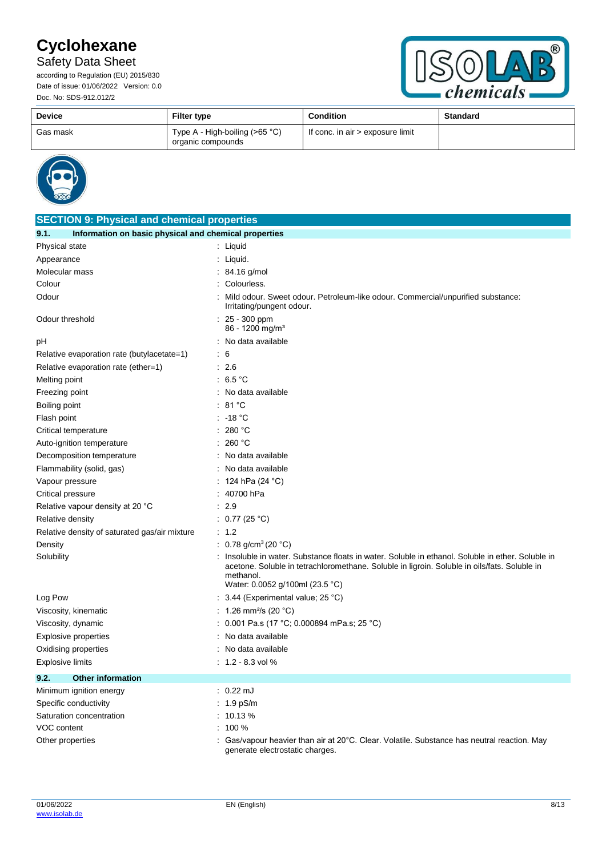## Safety Data Sheet **\*\*\* DRAFT \*\*\* DRAFT \*\*\* DRAFT \*\*\* DRAFT \*\*\* DRAFT \*\*\* DRAFT \*\***

according to Regulation (EU) 2015/830 Date of issue: 01/06/2022 Version: 0.0 Doc. No: SDS-912.012/2



| <b>Device</b> | <b>Filter type</b>                                            | <b>Condition</b>                 | <b>Standard</b> |
|---------------|---------------------------------------------------------------|----------------------------------|-----------------|
| Gas mask      | Type A - High-boiling (>65 $^{\circ}$ C)<br>organic compounds | If conc. in air > exposure limit |                 |



| <b>SECTION 9: Physical and chemical properties</b>            |                                                                                                                                                                                                                                                   |  |  |
|---------------------------------------------------------------|---------------------------------------------------------------------------------------------------------------------------------------------------------------------------------------------------------------------------------------------------|--|--|
| 9.1.<br>Information on basic physical and chemical properties |                                                                                                                                                                                                                                                   |  |  |
| Physical state                                                | : Liquid                                                                                                                                                                                                                                          |  |  |
| Appearance                                                    | : Liquid.                                                                                                                                                                                                                                         |  |  |
| Molecular mass                                                | $: 84.16$ g/mol                                                                                                                                                                                                                                   |  |  |
| Colour                                                        | Colourless.                                                                                                                                                                                                                                       |  |  |
| Odour                                                         | Mild odour. Sweet odour. Petroleum-like odour. Commercial/unpurified substance:<br>Irritating/pungent odour.                                                                                                                                      |  |  |
| Odour threshold                                               | $: 25 - 300$ ppm<br>86 - 1200 mg/m <sup>3</sup>                                                                                                                                                                                                   |  |  |
| рH                                                            | : No data available                                                                                                                                                                                                                               |  |  |
| Relative evaporation rate (butylacetate=1)                    | $\frac{1}{2}$ 6                                                                                                                                                                                                                                   |  |  |
| Relative evaporation rate (ether=1)                           | : 2.6                                                                                                                                                                                                                                             |  |  |
| Melting point                                                 | : 6.5 °C                                                                                                                                                                                                                                          |  |  |
| Freezing point                                                | : No data available                                                                                                                                                                                                                               |  |  |
| Boiling point                                                 | : 81 °C                                                                                                                                                                                                                                           |  |  |
| Flash point                                                   | $: -18 °C$                                                                                                                                                                                                                                        |  |  |
| Critical temperature                                          | : 280 °C                                                                                                                                                                                                                                          |  |  |
| Auto-ignition temperature                                     | : 260 °C                                                                                                                                                                                                                                          |  |  |
| Decomposition temperature                                     | : No data available                                                                                                                                                                                                                               |  |  |
| Flammability (solid, gas)                                     | : No data available                                                                                                                                                                                                                               |  |  |
| Vapour pressure                                               | : 124 hPa (24 $^{\circ}$ C)                                                                                                                                                                                                                       |  |  |
| Critical pressure                                             | : 40700 hPa                                                                                                                                                                                                                                       |  |  |
| Relative vapour density at 20 °C                              | : 2.9                                                                                                                                                                                                                                             |  |  |
| Relative density                                              | : $0.77(25 °C)$                                                                                                                                                                                                                                   |  |  |
| Relative density of saturated gas/air mixture                 | : 1.2                                                                                                                                                                                                                                             |  |  |
| Density                                                       | : 0.78 g/cm <sup>3</sup> (20 °C)                                                                                                                                                                                                                  |  |  |
| Solubility                                                    | : Insoluble in water. Substance floats in water. Soluble in ethanol. Soluble in ether. Soluble in<br>acetone. Soluble in tetrachloromethane. Soluble in ligroin. Soluble in oils/fats. Soluble in<br>methanol.<br>Water: 0.0052 g/100ml (23.5 °C) |  |  |
| Log Pow                                                       | : $3.44$ (Experimental value; 25 °C)                                                                                                                                                                                                              |  |  |
| Viscosity, kinematic                                          | : 1.26 mm <sup>2</sup> /s (20 °C)                                                                                                                                                                                                                 |  |  |
| Viscosity, dynamic                                            | : 0.001 Pa.s (17 °C; 0.000894 mPa.s; 25 °C)                                                                                                                                                                                                       |  |  |
| Explosive properties                                          | : No data available                                                                                                                                                                                                                               |  |  |
| Oxidising properties                                          | No data available                                                                                                                                                                                                                                 |  |  |
| Explosive limits                                              | $: 1.2 - 8.3$ vol %                                                                                                                                                                                                                               |  |  |
| 9.2.<br><b>Other information</b>                              |                                                                                                                                                                                                                                                   |  |  |
| Minimum ignition energy                                       | $: 0.22 \text{ mJ}$                                                                                                                                                                                                                               |  |  |
| Specific conductivity                                         | : $1.9$ pS/m                                                                                                                                                                                                                                      |  |  |
| Saturation concentration                                      | $: 10.13 \%$                                                                                                                                                                                                                                      |  |  |
| VOC content                                                   | $: 100 \%$                                                                                                                                                                                                                                        |  |  |
| Other properties                                              | : Gas/vapour heavier than air at 20°C. Clear. Volatile. Substance has neutral reaction. May<br>generate electrostatic charges.                                                                                                                    |  |  |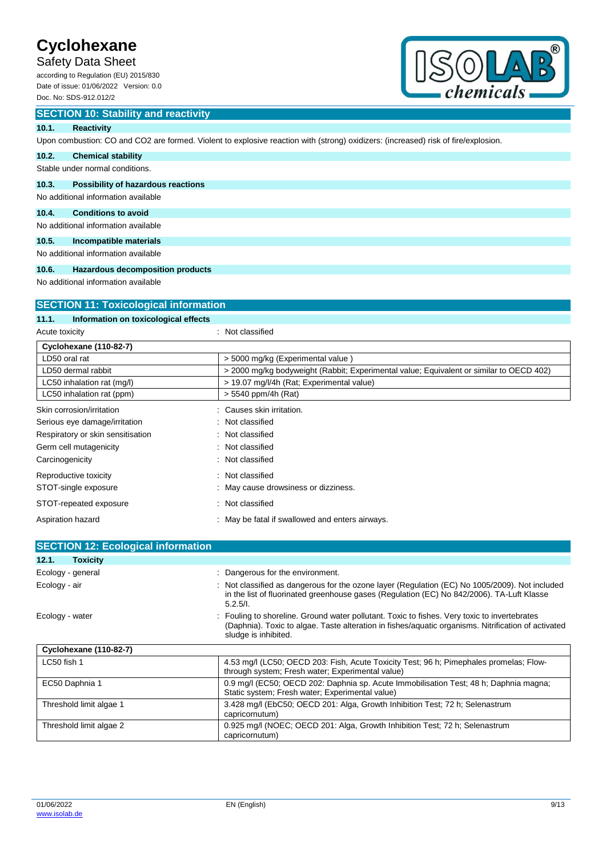### **Safety Data Sheet**

according to Regulation (EU) 2015/830 Date of issue: 01/06/2022 Version: 0.0 Doc. No: SDS-912.012/2



## **SECTION 10: Stability and reactivity**

#### **10.1. Reactivity**

Upon combustion: CO and CO2 are formed. Violent to explosive reaction with (strong) oxidizers: (increased) risk of fire/explosion.

#### **10.2. Chemical stability**

Stable under normal conditions.

#### **10.3. Possibility of hazardous reactions**

No additional information available

### **10.4. Conditions to avoid**

No additional information available

# **10.5. Incompatible materials**

No additional information available

#### **10.6. Hazardous decomposition products**

No additional information available

| <b>SECTION 11: Toxicological information</b>  |                                                                                         |  |  |
|-----------------------------------------------|-----------------------------------------------------------------------------------------|--|--|
| Information on toxicological effects<br>11.1. |                                                                                         |  |  |
| Acute toxicity                                | : Not classified                                                                        |  |  |
| Cyclohexane (110-82-7)                        |                                                                                         |  |  |
| LD50 oral rat                                 | > 5000 mg/kg (Experimental value)                                                       |  |  |
| LD50 dermal rabbit                            | > 2000 mg/kg bodyweight (Rabbit; Experimental value; Equivalent or similar to OECD 402) |  |  |
| LC50 inhalation rat (mg/l)                    | > 19.07 mg/l/4h (Rat; Experimental value)                                               |  |  |
| LC50 inhalation rat (ppm)                     | > 5540 ppm/4h (Rat)                                                                     |  |  |
| Skin corrosion/irritation                     | : Causes skin irritation.                                                               |  |  |
| Serious eye damage/irritation                 | : Not classified                                                                        |  |  |
| Respiratory or skin sensitisation             | Not classified                                                                          |  |  |
| Germ cell mutagenicity                        | Not classified                                                                          |  |  |
| Carcinogenicity                               | : Not classified                                                                        |  |  |
| Reproductive toxicity                         | : Not classified                                                                        |  |  |
| STOT-single exposure                          | : May cause drowsiness or dizziness.                                                    |  |  |
| STOT-repeated exposure                        | Not classified<br>÷                                                                     |  |  |
| Aspiration hazard                             | May be fatal if swallowed and enters airways.                                           |  |  |

| <b>SECTION 12: Ecological information</b> |                                                                                                                                                                                                                             |
|-------------------------------------------|-----------------------------------------------------------------------------------------------------------------------------------------------------------------------------------------------------------------------------|
| 12.1.<br><b>Toxicity</b>                  |                                                                                                                                                                                                                             |
| Ecology - general                         | : Dangerous for the environment.                                                                                                                                                                                            |
| Ecology - air                             | Not classified as dangerous for the ozone layer (Regulation (EC) No 1005/2009). Not included<br>in the list of fluorinated greenhouse gases (Regulation (EC) No 842/2006). TA-Luft Klasse<br>5.2.5/l.                       |
| Ecology - water                           | : Fouling to shoreline. Ground water pollutant. Toxic to fishes. Very toxic to invertebrates<br>(Daphnia). Toxic to algae. Taste alteration in fishes/aquatic organisms. Nitrification of activated<br>sludge is inhibited. |
| <b>Cyclohexane (110-82-7)</b>             |                                                                                                                                                                                                                             |
| LC50 fish 1                               | 4.53 mg/l (LC50; OECD 203: Fish, Acute Toxicity Test; 96 h; Pimephales promelas; Flow-<br>through system; Fresh water; Experimental value)                                                                                  |
| EC50 Daphnia 1                            | 0.9 mg/l (EC50; OECD 202: Daphnia sp. Acute Immobilisation Test; 48 h; Daphnia magna;<br>Static system; Fresh water; Experimental value)                                                                                    |
| Threshold limit algae 1                   | 3.428 mg/l (EbC50; OECD 201: Alga, Growth Inhibition Test; 72 h; Selenastrum<br>capricornutum)                                                                                                                              |
| Threshold limit algae 2                   | 0.925 mg/l (NOEC; OECD 201: Alga, Growth Inhibition Test; 72 h; Selenastrum<br>capricornutum)                                                                                                                               |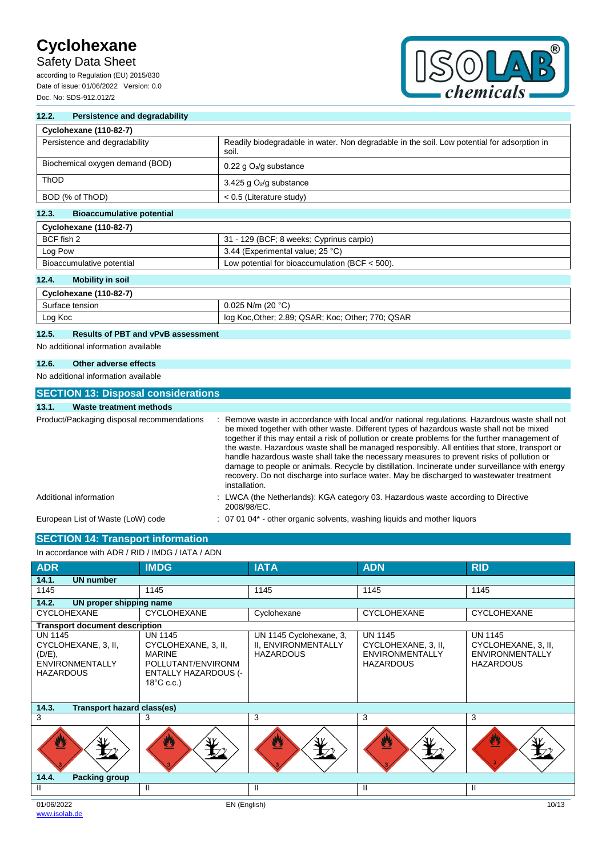# **Safety Data Sheet**

according to Regulation (EU) 2015/830 Date of issue: 01/06/2022 Version: 0.0 Doc. No: SDS-912.012/2



### **12.2. Persistence and degradability Cyclohexane (110-82-7)** Persistence and degradability Readily biodegradable in water. Non degradable in the soil. Low potential for adsorption in soil.

| Biochemical oxygen demand (BOD) | 0.22 g O <sub>2</sub> /g substance |
|---------------------------------|------------------------------------|
| <b>ThOD</b>                     | 3.425 g $O_2$ /g substance         |
| BOD (% of ThOD)                 | $< 0.5$ (Literature study)         |

#### **12.3. Bioaccumulative potential**

| Cyclohexane (110-82-7)    |                                                  |
|---------------------------|--------------------------------------------------|
| BCF fish 2                | 31 - 129 (BCF; 8 weeks; Cyprinus carpio)         |
| Log Pow                   | 3.44 (Experimental value: 25 °C)                 |
| Bioaccumulative potential | Low potential for bioaccumulation (BCF $<$ 500). |

#### **12.4. Mobility in soil**

| Cyclohexane (110-82-7) |                                                   |
|------------------------|---------------------------------------------------|
| Surface tension        | $0.025$ N/m (20 °C)                               |
| Log Koc                | log Koc, Other; 2.89; QSAR; Koc; Other; 770; QSAR |

#### **12.5. Results of PBT and vPvB assessment**

No additional information available

#### **12.6. Other adverse effects**

No additional information available

#### **SECTION 13: Disposal considerations 13.1. Waste treatment methods** Product/Packaging disposal recommendations : Remove waste in accordance with local and/or national regulations. Hazardous waste shall not be mixed together with other waste. Different types of hazardous waste shall not be mixed together if this may entail a risk of pollution or create problems for the further management of the waste. Hazardous waste shall be managed responsibly. All entities that store, transport or handle hazardous waste shall take the necessary measures to prevent risks of pollution or damage to people or animals. Recycle by distillation. Incinerate under surveillance with energy recovery. Do not discharge into surface water. May be discharged to wastewater treatment installation. Additional information : LWCA (the Netherlands): KGA category 03. Hazardous waste according to Directive 2008/98/EC. European List of Waste (LoW) code : 07 01 04\* - other organic solvents, washing liquids and mother liquors

#### **SECTION 14: Transport information**  $\overline{a}$

| In accordance with ADR / RID / IMDG / IATA / ADN                                                 |                                                                                                                                     |                                                                    |                                                                                     |                                                                                     |
|--------------------------------------------------------------------------------------------------|-------------------------------------------------------------------------------------------------------------------------------------|--------------------------------------------------------------------|-------------------------------------------------------------------------------------|-------------------------------------------------------------------------------------|
| <b>ADR</b>                                                                                       | <b>IMDG</b>                                                                                                                         | <b>IATA</b>                                                        | <b>ADN</b>                                                                          | <b>RID</b>                                                                          |
| 14.1.<br><b>UN number</b>                                                                        |                                                                                                                                     |                                                                    |                                                                                     |                                                                                     |
| 1145                                                                                             | 1145                                                                                                                                | 1145                                                               | 1145                                                                                | 1145                                                                                |
| 14.2.<br>UN proper shipping name                                                                 |                                                                                                                                     |                                                                    |                                                                                     |                                                                                     |
| <b>CYCLOHEXANE</b>                                                                               | <b>CYCLOHEXANE</b>                                                                                                                  | Cyclohexane                                                        | <b>CYCLOHEXANE</b>                                                                  | CYCLOHEXANE                                                                         |
| <b>Transport document description</b>                                                            |                                                                                                                                     |                                                                    |                                                                                     |                                                                                     |
| <b>UN 1145</b><br>CYCLOHEXANE, 3, II,<br>$(D/E)$ ,<br><b>ENVIRONMENTALLY</b><br><b>HAZARDOUS</b> | <b>UN 1145</b><br>CYCLOHEXANE, 3, II,<br><b>MARINE</b><br>POLLUTANT/ENVIRONM<br><b>ENTALLY HAZARDOUS (-</b><br>$18^{\circ}$ C c.c.) | UN 1145 Cyclohexane, 3,<br>II, ENVIRONMENTALLY<br><b>HAZARDOUS</b> | <b>UN 1145</b><br>CYCLOHEXANE, 3, II,<br><b>ENVIRONMENTALLY</b><br><b>HAZARDOUS</b> | <b>UN 1145</b><br>CYCLOHEXANE, 3, II,<br><b>ENVIRONMENTALLY</b><br><b>HAZARDOUS</b> |
| 14.3.<br><b>Transport hazard class(es)</b>                                                       |                                                                                                                                     |                                                                    |                                                                                     |                                                                                     |
| 3                                                                                                | 3                                                                                                                                   | 3                                                                  | 3                                                                                   | 3                                                                                   |
| U                                                                                                | $\overline{\mathbf{a}}$                                                                                                             | 연                                                                  | $\overline{a}$                                                                      | 發                                                                                   |
| 14.4.<br><b>Packing group</b>                                                                    |                                                                                                                                     |                                                                    |                                                                                     |                                                                                     |
| Ш                                                                                                | Ш                                                                                                                                   | Ш                                                                  | Ш                                                                                   | Ш                                                                                   |
| 01/06/2022                                                                                       | EN (English)                                                                                                                        |                                                                    |                                                                                     | 10/13                                                                               |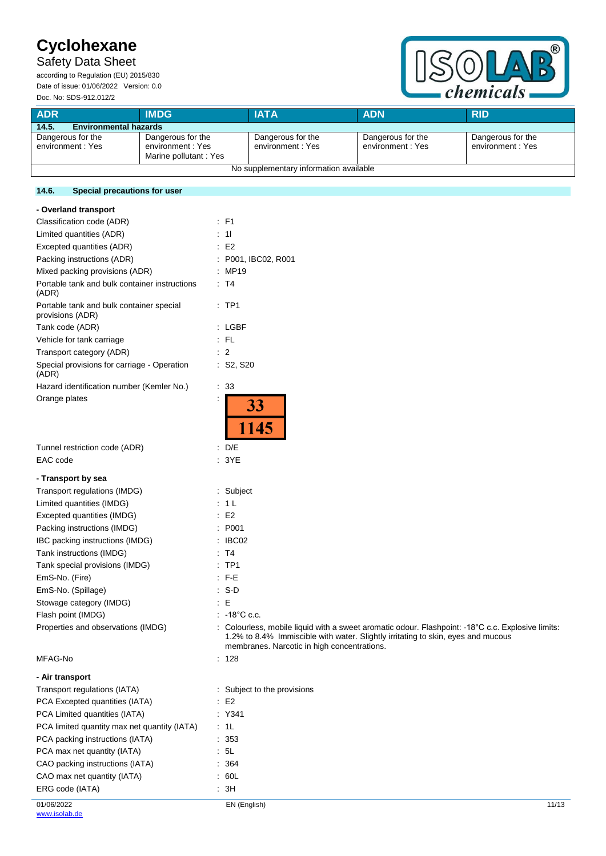# **Safety Data Sheet**

according to Regulation (EU) 2015/830 Date of issue: 01/06/2022 Version: 0.0 Doc. No: SDS-912.012/2



| <b>ADR</b>                             | <b>IMDG</b>                                                     | <b>IATA</b>                           | <b>ADN</b>                            | <b>RID</b>                             |
|----------------------------------------|-----------------------------------------------------------------|---------------------------------------|---------------------------------------|----------------------------------------|
| 14.5.<br><b>Environmental hazards</b>  |                                                                 |                                       |                                       |                                        |
| Dangerous for the<br>environment: Yes  | Dangerous for the<br>environment : Yes<br>Marine pollutant: Yes | Dangerous for the<br>environment: Yes | Dangerous for the<br>environment: Yes | Dangerous for the<br>environment : Yes |
| No supplementary information available |                                                                 |                                       |                                       |                                        |

### **14.6. Special precautions for user**

| - Overland transport                                         |                   |
|--------------------------------------------------------------|-------------------|
| Classification code (ADR)                                    | : F1              |
| Limited quantities (ADR)                                     | 11                |
| Excepted quantities (ADR)                                    | E2                |
| Packing instructions (ADR)                                   | P001, IBC02, R001 |
| Mixed packing provisions (ADR)                               | <b>MP19</b>       |
| Portable tank and bulk container instructions<br>(ADR)       | T <sub>4</sub>    |
| Portable tank and bulk container special<br>provisions (ADR) | TP1               |
| Tank code (ADR)                                              | LGBF              |
| Vehicle for tank carriage                                    | <b>FL</b>         |
| Transport category (ADR)                                     | 2                 |
| Special provisions for carriage - Operation<br>(ADR)         | $:$ S2, S20       |
| Hazard identification number (Kemler No.)                    | 33                |
| Orange plates                                                | İ<br>33<br>1145   |
| Tunnel restriction code (ADR)                                | D/E               |
| EAC code                                                     | 3YE               |
| - Transport by sea                                           |                   |
| Transport regulations (IMDG)                                 | Subject           |
| Limited quantities (IMDG)                                    | 1 <sub>L</sub>    |
| Excepted quantities (IMDG)                                   | E <sub>2</sub>    |
| Packing instructions (IMDG)                                  | P001              |

IBC packing instructions (IMDG) : IBC02 Tank instructions (IMDG) **: T4** Tank special provisions (IMDG) : TP1 EmS-No. (Fire) : F-E EmS-No. (Spillage) : S-D Stowage category (IMDG)  $\qquad \qquad : E$ 

Flash point (IMDG)  $\qquad \qquad$  : -18°C c.c. Properties and observations (IMDG) : Colourless, mobile liquid with a sweet aromatic odour. Flashpoint: -18°C c.c. Explosive limits:

#### MFAG-No : 128

|  |  | - Air transport |
|--|--|-----------------|
|--|--|-----------------|

| Transport regulations (IATA)                 | : Subject to the provisions |  |
|----------------------------------------------|-----------------------------|--|
| PCA Excepted quantities (IATA)               | E2                          |  |
| PCA Limited quantities (IATA)                | : Y341                      |  |
| PCA limited quantity max net quantity (IATA) | : 1L                        |  |
| PCA packing instructions (IATA)              | : 353                       |  |
| PCA max net quantity (IATA)                  | : 5L                        |  |
| CAO packing instructions (IATA)              | : 364                       |  |
| CAO max net quantity (IATA)                  | : 60L                       |  |
| ERG code (IATA)                              | : 3H                        |  |
|                                              |                             |  |

1.2% to 8.4% Immiscible with water. Slightly irritating to skin, eyes and mucous

membranes. Narcotic in high concentrations.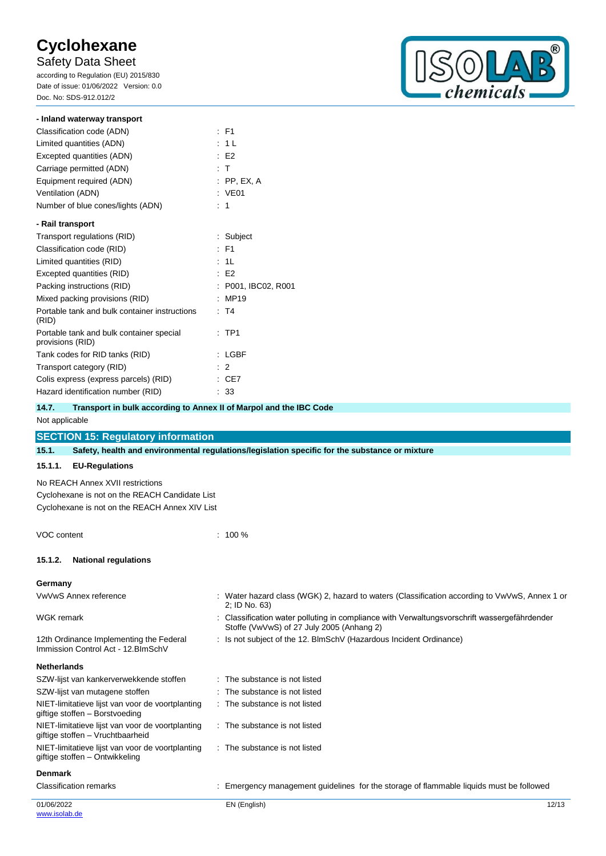**Safety Data Sheet** 

according to Regulation (EU) 2015/830 Date of issue: 01/06/2022 Version: 0.0 Doc. No: SDS-912.012/2



#### **- Inland waterway transport**

| Classification code (ADN)                                    | $\cdot$ F1          |
|--------------------------------------------------------------|---------------------|
| Limited quantities (ADN)                                     | : 1 L               |
| Excepted quantities (ADN)                                    | E2                  |
| Carriage permitted (ADN)                                     | : T                 |
| Equipment required (ADN)                                     | : PP, EX, A         |
| Ventilation (ADN)                                            | : VE01              |
| Number of blue cones/lights (ADN)                            | ÷.<br>1             |
| - Rail transport                                             |                     |
| Transport regulations (RID)                                  | : Subject           |
| Classification code (RID)                                    | $\cdot$ F1          |
| Limited quantities (RID)                                     | : 1L                |
| Excepted quantities (RID)                                    | E2                  |
| Packing instructions (RID)                                   | : P001, IBC02, R001 |
| Mixed packing provisions (RID)                               | MP19                |
| Portable tank and bulk container instructions<br>(RID)       | : T4                |
| Portable tank and bulk container special<br>provisions (RID) | $:$ TP1             |
| Tank codes for RID tanks (RID)                               | : LGBF              |
| Transport category (RID)                                     | 2                   |
| Colis express (express parcels) (RID)                        | CE7                 |
| Hazard identification number (RID)                           | 33                  |

# **14.7. Transport in bulk according to Annex II of Marpol and the IBC Code**

Not applicable

### **SECTION 15: Regulatory information**

**15.1. Safety, health and environmental regulations/legislation specific for the substance or mixture**

### **15.1.1. EU-Regulations**

No REACH Annex XVII restrictions Cyclohexane is not on the REACH Candidate List Cyclohexane is not on the REACH Annex XIV List

VOC content : 100 %

#### **15.1.2. National regulations**

12th Ordinance Implementing the Federal Immission Control Act - 12.BImSchV

#### **Germany**

- VwVwS Annex reference : Water hazard class (WGK) 2, hazard to waters (Classification according to VwVwS, Annex 1 or 2; ID No. 63) WGK remark **in the symbol of the symbol compliance** with Verwaltungsvorschrift wassergefährdender Stoffe (VwVwS) of 27 July 2005 (Anhang 2)
	- : Is not subject of the 12. BlmSchV (Hazardous Incident Ordinance)

### **Netherlands**

| netheriands                                                                          |                                                                                         |
|--------------------------------------------------------------------------------------|-----------------------------------------------------------------------------------------|
| SZW-lijst van kankerverwekkende stoffen                                              | . The substance is not listed                                                           |
| SZW-lijst van mutagene stoffen                                                       | . The substance is not listed                                                           |
| NIET-limitatieve lijst van voor de voortplanting<br>giftige stoffen – Borstvoeding   | . The substance is not listed                                                           |
| NIET-limitatieve lijst van voor de voortplanting<br>giftige stoffen – Vruchtbaarheid | . The substance is not listed                                                           |
| NIET-limitatieve lijst van voor de voortplanting<br>giftige stoffen – Ontwikkeling   | : The substance is not listed                                                           |
| <b>Denmark</b>                                                                       |                                                                                         |
| <b>Classification remarks</b>                                                        | : Emergency management guidelines for the storage of flammable liquids must be followed |